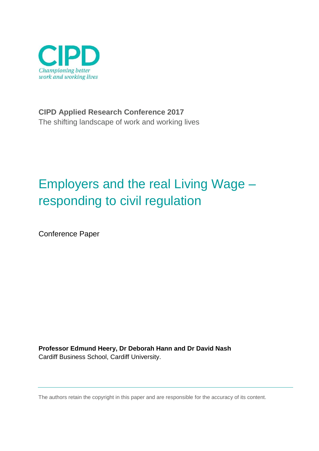

**CIPD Applied Research Conference 2017** The shifting landscape of work and working lives

# Employers and the real Living Wage – responding to civil regulation

Conference Paper

**Professor Edmund Heery, Dr Deborah Hann and Dr David Nash** Cardiff Business School, Cardiff University.

The authors retain the copyright in this paper and are responsible for the accuracy of its content.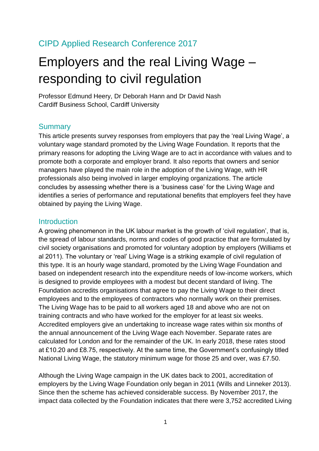# CIPD Applied Research Conference 2017

# Employers and the real Living Wage – responding to civil regulation

Professor Edmund Heery, Dr Deborah Hann and Dr David Nash Cardiff Business School, Cardiff University

# **Summary**

This article presents survey responses from employers that pay the 'real Living Wage', a voluntary wage standard promoted by the Living Wage Foundation. It reports that the primary reasons for adopting the Living Wage are to act in accordance with values and to promote both a corporate and employer brand. It also reports that owners and senior managers have played the main role in the adoption of the Living Wage, with HR professionals also being involved in larger employing organizations. The article concludes by assessing whether there is a 'business case' for the Living Wage and identifies a series of performance and reputational benefits that employers feel they have obtained by paying the Living Wage.

### **Introduction**

A growing phenomenon in the UK labour market is the growth of 'civil regulation', that is, the spread of labour standards, norms and codes of good practice that are formulated by civil society organisations and promoted for voluntary adoption by employers (Williams et al 2011). The voluntary or 'real' Living Wage is a striking example of civil regulation of this type. It is an hourly wage standard, promoted by the Living Wage Foundation and based on independent research into the expenditure needs of low-income workers, which is designed to provide employees with a modest but decent standard of living. The Foundation accredits organisations that agree to pay the Living Wage to their direct employees and to the employees of contractors who normally work on their premises. The Living Wage has to be paid to all workers aged 18 and above who are not on training contracts and who have worked for the employer for at least six weeks. Accredited employers give an undertaking to increase wage rates within six months of the annual announcement of the Living Wage each November. Separate rates are calculated for London and for the remainder of the UK. In early 2018, these rates stood at £10.20 and £8.75, respectively. At the same time, the Government's confusingly titled National Living Wage, the statutory minimum wage for those 25 and over, was £7.50.

Although the Living Wage campaign in the UK dates back to 2001, accreditation of employers by the Living Wage Foundation only began in 2011 (Wills and Linneker 2013). Since then the scheme has achieved considerable success. By November 2017, the impact data collected by the Foundation indicates that there were 3,752 accredited Living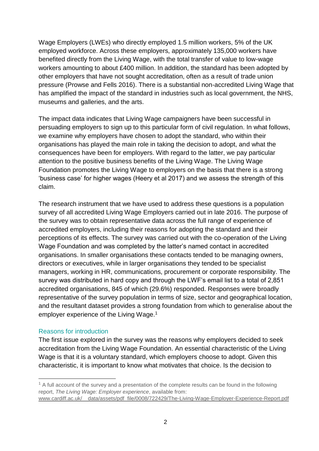Wage Employers (LWEs) who directly employed 1.5 million workers, 5% of the UK employed workforce. Across these employers, approximately 135,000 workers have benefited directly from the Living Wage, with the total transfer of value to low-wage workers amounting to about £400 million. In addition, the standard has been adopted by other employers that have not sought accreditation, often as a result of trade union pressure (Prowse and Fells 2016). There is a substantial non-accredited Living Wage that has amplified the impact of the standard in industries such as local government, the NHS, museums and galleries, and the arts.

The impact data indicates that Living Wage campaigners have been successful in persuading employers to sign up to this particular form of civil regulation. In what follows, we examine why employers have chosen to adopt the standard, who within their organisations has played the main role in taking the decision to adopt, and what the consequences have been for employers. With regard to the latter, we pay particular attention to the positive business benefits of the Living Wage. The Living Wage Foundation promotes the Living Wage to employers on the basis that there is a strong 'business case' for higher wages (Heery et al 2017) and we assess the strength of this claim.

The research instrument that we have used to address these questions is a population survey of all accredited Living Wage Employers carried out in late 2016. The purpose of the survey was to obtain representative data across the full range of experience of accredited employers, including their reasons for adopting the standard and their perceptions of its effects. The survey was carried out with the co-operation of the Living Wage Foundation and was completed by the latter's named contact in accredited organisations. In smaller organisations these contacts tended to be managing owners, directors or executives, while in larger organisations they tended to be specialist managers, working in HR, communications, procurement or corporate responsibility. The survey was distributed in hard copy and through the LWF's email list to a total of 2,851 accredited organisations, 845 of which (29.6%) responded. Responses were broadly representative of the survey population in terms of size, sector and geographical location, and the resultant dataset provides a strong foundation from which to generalise about the employer experience of the Living Wage.<sup>1</sup>

#### Reasons for introduction

-

The first issue explored in the survey was the reasons why employers decided to seek accreditation from the Living Wage Foundation. An essential characteristic of the Living Wage is that it is a voluntary standard, which employers choose to adopt. Given this characteristic, it is important to know what motivates that choice. Is the decision to

 $1$  A full account of the survey and a presentation of the complete results can be found in the following report, *The Living Wage: Employer experience*, available from: [www.cardiff.ac.uk/\\_\\_data/assets/pdf\\_file/0008/722429/The-Living-Wage-Employer-Experience-Report.pdf](http://www.cardiff.ac.uk/__data/assets/pdf_file/0008/722429/The-Living-Wage-Employer-Experience-Report.pdf)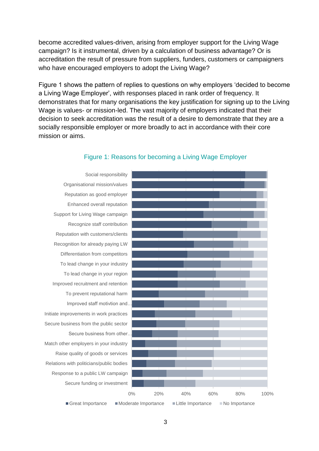become accredited values-driven, arising from employer support for the Living Wage campaign? Is it instrumental, driven by a calculation of business advantage? Or is accreditation the result of pressure from suppliers, funders, customers or campaigners who have encouraged employers to adopt the Living Wage?

Figure 1 shows the pattern of replies to questions on why employers 'decided to become a Living Wage Employer', with responses placed in rank order of frequency. It demonstrates that for many organisations the key justification for signing up to the Living Wage is values- or mission-led. The vast majority of employers indicated that their decision to seek accreditation was the result of a desire to demonstrate that they are a socially responsible employer or more broadly to act in accordance with their core mission or aims.



#### Figure 1: Reasons for becoming a Living Wage Employer

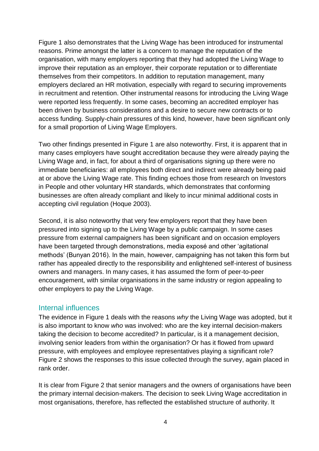Figure 1 also demonstrates that the Living Wage has been introduced for instrumental reasons. Prime amongst the latter is a concern to manage the reputation of the organisation, with many employers reporting that they had adopted the Living Wage to improve their reputation as an employer, their corporate reputation or to differentiate themselves from their competitors. In addition to reputation management, many employers declared an HR motivation, especially with regard to securing improvements in recruitment and retention. Other instrumental reasons for introducing the Living Wage were reported less frequently. In some cases, becoming an accredited employer has been driven by business considerations and a desire to secure new contracts or to access funding. Supply-chain pressures of this kind, however, have been significant only for a small proportion of Living Wage Employers.

Two other findings presented in Figure 1 are also noteworthy. First, it is apparent that in many cases employers have sought accreditation because they were already paying the Living Wage and, in fact, for about a third of organisations signing up there were no immediate beneficiaries: all employees both direct and indirect were already being paid at or above the Living Wage rate. This finding echoes those from research on Investors in People and other voluntary HR standards, which demonstrates that conforming businesses are often already compliant and likely to incur minimal additional costs in accepting civil regulation (Hoque 2003).

Second, it is also noteworthy that very few employers report that they have been pressured into signing up to the Living Wage by a public campaign. In some cases pressure from external campaigners has been significant and on occasion employers have been targeted through demonstrations, media exposé and other 'agitational methods' (Bunyan 2016). In the main, however, campaigning has not taken this form but rather has appealed directly to the responsibility and enlightened self-interest of business owners and managers. In many cases, it has assumed the form of peer-to-peer encouragement, with similar organisations in the same industry or region appealing to other employers to pay the Living Wage.

#### Internal influences

The evidence in Figure 1 deals with the reasons *why* the Living Wage was adopted, but it is also important to know *who* was involved: who are the key internal decision-makers taking the decision to become accredited? In particular, is it a management decision, involving senior leaders from within the organisation? Or has it flowed from upward pressure, with employees and employee representatives playing a significant role? Figure 2 shows the responses to this issue collected through the survey, again placed in rank order.

It is clear from Figure 2 that senior managers and the owners of organisations have been the primary internal decision-makers. The decision to seek Living Wage accreditation in most organisations, therefore, has reflected the established structure of authority. It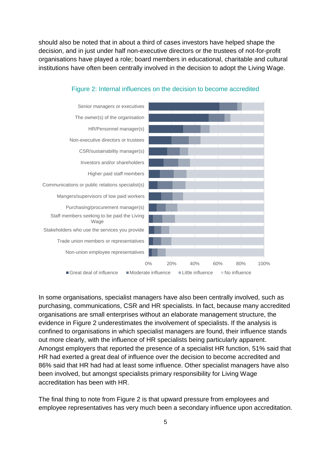should also be noted that in about a third of cases investors have helped shape the decision, and in just under half non-executive directors or the trustees of not-for-profit organisations have played a role; board members in educational, charitable and cultural institutions have often been centrally involved in the decision to adopt the Living Wage.



#### Figure 2: Internal influences on the decision to become accredited

In some organisations, specialist managers have also been centrally involved, such as purchasing, communications, CSR and HR specialists. In fact, because many accredited organisations are small enterprises without an elaborate management structure, the evidence in Figure 2 underestimates the involvement of specialists. If the analysis is confined to organisations in which specialist managers are found, their influence stands out more clearly, with the influence of HR specialists being particularly apparent. Amongst employers that reported the presence of a specialist HR function, 51% said that HR had exerted a great deal of influence over the decision to become accredited and 86% said that HR had had at least some influence. Other specialist managers have also been involved, but amongst specialists primary responsibility for Living Wage accreditation has been with HR.

The final thing to note from Figure 2 is that upward pressure from employees and employee representatives has very much been a secondary influence upon accreditation.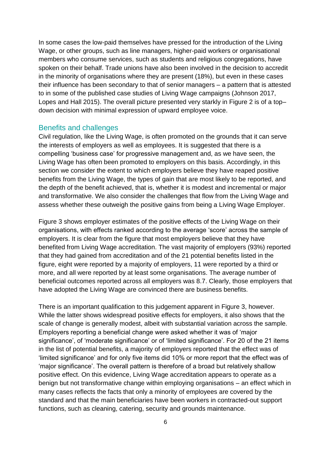In some cases the low-paid themselves have pressed for the introduction of the Living Wage, or other groups, such as line managers, higher-paid workers or organisational members who consume services, such as students and religious congregations, have spoken on their behalf. Trade unions have also been involved in the decision to accredit in the minority of organisations where they are present (18%), but even in these cases their influence has been secondary to that of senior managers – a pattern that is attested to in some of the published case studies of Living Wage campaigns (Johnson 2017, Lopes and Hall 2015). The overall picture presented very starkly in Figure 2 is of a top– down decision with minimal expression of upward employee voice.

#### Benefits and challenges

Civil regulation, like the Living Wage, is often promoted on the grounds that it can serve the interests of employers as well as employees. It is suggested that there is a compelling 'business case' for progressive management and, as we have seen, the Living Wage has often been promoted to employers on this basis. Accordingly, in this section we consider the extent to which employers believe they have reaped positive benefits from the Living Wage, the types of gain that are most likely to be reported, and the depth of the benefit achieved, that is, whether it is modest and incremental or major and transformative. We also consider the challenges that flow from the Living Wage and assess whether these outweigh the positive gains from being a Living Wage Employer.

Figure 3 shows employer estimates of the positive effects of the Living Wage on their organisations, with effects ranked according to the average 'score' across the sample of employers. It is clear from the figure that most employers believe that they have benefited from Living Wage accreditation. The vast majority of employers (93%) reported that they had gained from accreditation and of the 21 potential benefits listed in the figure, eight were reported by a majority of employers, 11 were reported by a third or more, and all were reported by at least some organisations. The average number of beneficial outcomes reported across all employers was 8.7. Clearly, those employers that have adopted the Living Wage are convinced there are business benefits.

There is an important qualification to this judgement apparent in Figure 3, however. While the latter shows widespread positive effects for employers, it also shows that the scale of change is generally modest, albeit with substantial variation across the sample. Employers reporting a beneficial change were asked whether it was of 'major significance', of 'moderate significance' or of 'limited significance'. For 20 of the 21 items in the list of potential benefits, a majority of employers reported that the effect was of 'limited significance' and for only five items did 10% or more report that the effect was of 'major significance'. The overall pattern is therefore of a broad but relatively shallow positive effect. On this evidence, Living Wage accreditation appears to operate as a benign but not transformative change within employing organisations – an effect which in many cases reflects the facts that only a minority of employees are covered by the standard and that the main beneficiaries have been workers in contracted-out support functions, such as cleaning, catering, security and grounds maintenance.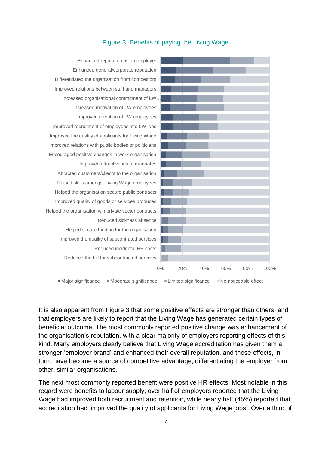

# Figure 3: Benefits of paying the Living Wage

It is also apparent from Figure 3 that some positive effects are stronger than others, and that employers are likely to report that the Living Wage has generated certain types of beneficial outcome. The most commonly reported positive change was enhancement of the organisation's reputation, with a clear majority of employers reporting effects of this kind. Many employers clearly believe that Living Wage accreditation has given them a stronger 'employer brand' and enhanced their overall reputation, and these effects, in turn, have become a source of competitive advantage, differentiating the employer from other, similar organisations.

The next most commonly reported benefit were positive HR effects. Most notable in this regard were benefits to labour supply; over half of employers reported that the Living Wage had improved both recruitment and retention, while nearly half (45%) reported that accreditation had 'improved the quality of applicants for Living Wage jobs'. Over a third of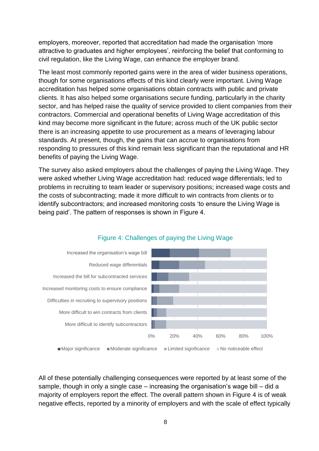employers, moreover, reported that accreditation had made the organisation 'more attractive to graduates and higher employees', reinforcing the belief that conforming to civil regulation, like the Living Wage, can enhance the employer brand.

The least most commonly reported gains were in the area of wider business operations, though for some organisations effects of this kind clearly were important. Living Wage accreditation has helped some organisations obtain contracts with public and private clients. It has also helped some organisations secure funding, particularly in the charity sector, and has helped raise the quality of service provided to client companies from their contractors. Commercial and operational benefits of Living Wage accreditation of this kind may become more significant in the future; across much of the UK public sector there is an increasing appetite to use procurement as a means of leveraging labour standards. At present, though, the gains that can accrue to organisations from responding to pressures of this kind remain less significant than the reputational and HR benefits of paying the Living Wage.

The survey also asked employers about the challenges of paying the Living Wage. They were asked whether Living Wage accreditation had: reduced wage differentials; led to problems in recruiting to team leader or supervisory positions; increased wage costs and the costs of subcontracting; made it more difficult to win contracts from clients or to identify subcontractors; and increased monitoring costs 'to ensure the Living Wage is being paid'. The pattern of responses is shown in Figure 4.



# Figure 4: Challenges of paying the Living Wage

All of these potentially challenging consequences were reported by at least some of the sample, though in only a single case – increasing the organisation's wage bill – did a majority of employers report the effect. The overall pattern shown in Figure 4 is of weak negative effects, reported by a minority of employers and with the scale of effect typically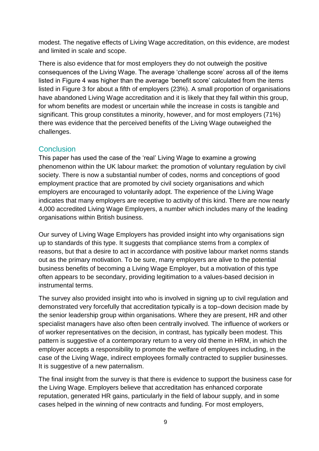modest. The negative effects of Living Wage accreditation, on this evidence, are modest and limited in scale and scope.

There is also evidence that for most employers they do not outweigh the positive consequences of the Living Wage. The average 'challenge score' across all of the items listed in Figure 4 was higher than the average 'benefit score' calculated from the items listed in Figure 3 for about a fifth of employers (23%). A small proportion of organisations have abandoned Living Wage accreditation and it is likely that they fall within this group, for whom benefits are modest or uncertain while the increase in costs is tangible and significant. This group constitutes a minority, however, and for most employers (71%) there was evidence that the perceived benefits of the Living Wage outweighed the challenges.

# **Conclusion**

This paper has used the case of the 'real' Living Wage to examine a growing phenomenon within the UK labour market: the promotion of voluntary regulation by civil society. There is now a substantial number of codes, norms and conceptions of good employment practice that are promoted by civil society organisations and which employers are encouraged to voluntarily adopt. The experience of the Living Wage indicates that many employers are receptive to activity of this kind. There are now nearly 4,000 accredited Living Wage Employers, a number which includes many of the leading organisations within British business.

Our survey of Living Wage Employers has provided insight into why organisations sign up to standards of this type. It suggests that compliance stems from a complex of reasons, but that a desire to act in accordance with positive labour market norms stands out as the primary motivation. To be sure, many employers are alive to the potential business benefits of becoming a Living Wage Employer, but a motivation of this type often appears to be secondary, providing legitimation to a values-based decision in instrumental terms.

The survey also provided insight into who is involved in signing up to civil regulation and demonstrated very forcefully that accreditation typically is a top–down decision made by the senior leadership group within organisations. Where they are present, HR and other specialist managers have also often been centrally involved. The influence of workers or of worker representatives on the decision, in contrast, has typically been modest. This pattern is suggestive of a contemporary return to a very old theme in HRM, in which the employer accepts a responsibility to promote the welfare of employees including, in the case of the Living Wage, indirect employees formally contracted to supplier businesses. It is suggestive of a new paternalism.

The final insight from the survey is that there is evidence to support the business case for the Living Wage. Employers believe that accreditation has enhanced corporate reputation, generated HR gains, particularly in the field of labour supply, and in some cases helped in the winning of new contracts and funding. For most employers,